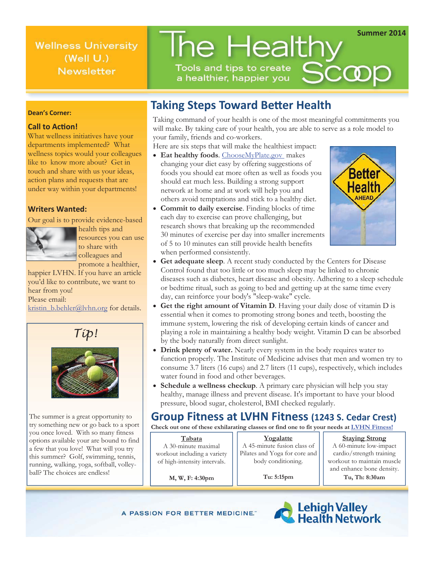**Wellness University** (Well U.) **Newsletter** 

# The Healthy Tools and tips to create Scoop

a healthier, happier you

### **Dean's Corner:**

#### **Call to Action!**

What wellness initiatives have your departments implemented? What wellness topics would your colleagues like to know more about? Get in touch and share with us your ideas, action plans and requests that are under way within your departments!

#### **Writers Wanted:**

Our goal is to provide evidence-based



health tips and resources you can use to share with colleagues and promote a healthier,

happier LVHN. If you have an article you'd like to contribute, we want to hear from you! Please email:

kristin\_b.behler@lvhn.org for details.





The summer is a great opportunity to try something new or go back to a sport you once loved. With so many fitness options available your are bound to find a few that you love! What will you try this summer? Golf, swimming, tennis, running, walking, yoga, softball, volleyball? The choices are endless!

### **Taking Steps Toward Better Health**

Taking command of your health is one of the most meaningful commitments you will make. By taking care of your health, you are able to serve as a role model to your family, friends and co-workers.

Here are six steps that will make the healthiest impact:

- **Eat healthy foods.** ChooseMyPlate.gov makes changing your diet easy by offering suggestions of foods you should eat more often as well as foods you should eat much less. Building a strong support network at home and at work will help you and others avoid temptations and stick to a healthy diet.
- x **Commit to daily exercise**. Finding blocks of time each day to exercise can prove challenging, but research shows that breaking up the recommended 30 minutes of exercise per day into smaller increments of 5 to 10 minutes can still provide health benefits when performed consistently.



**Summer 2014** 

- x **Get adequate sleep**. A recent study conducted by the Centers for Disease Control found that too little or too much sleep may be linked to chronic diseases such as diabetes, heart disease and obesity. Adhering to a sleep schedule or bedtime ritual, such as going to bed and getting up at the same time every day, can reinforce your body's "sleep-wake" cycle.
- **Get the right amount of Vitamin D**. Having your daily dose of vitamin D is essential when it comes to promoting strong bones and teeth, boosting the immune system, lowering the risk of developing certain kinds of cancer and playing a role in maintaining a healthy body weight. Vitamin D can be absorbed by the body naturally from direct sunlight.
- Drink plenty of water. Nearly every system in the body requires water to function properly. The Institute of Medicine advises that men and women try to consume 3.7 liters (16 cups) and 2.7 liters (11 cups), respectively, which includes water found in food and other beverages.
- **Schedule a wellness checkup**. A primary care physician will help you stay healthy, manage illness and prevent disease. It's important to have your blood pressure, blood sugar, cholesterol, BMI checked regularly.

### **Group Fitness at LVHN Fitness (1243 S. Cedar Crest)**

**Check out one of these exhilarating classes or find one to fit your needs at LVHN Fitness!**

#### **Tabata**  A 30-minute maximal workout including a variety of high-intensity intervals.

**Yogalatte**  A 45-minute fusion class of Pilates and Yoga for core and body conditioning.

**Tu: 5:15pm** 

**Staying Strong** 

A 60-minute low-impact cardio/strength training workout to maintain muscle and enhance bone density. **Tu, Th: 8:30am** 

**M, W, F: 4:30pm** 

A PASSION FOR BETTER MEDICINE."